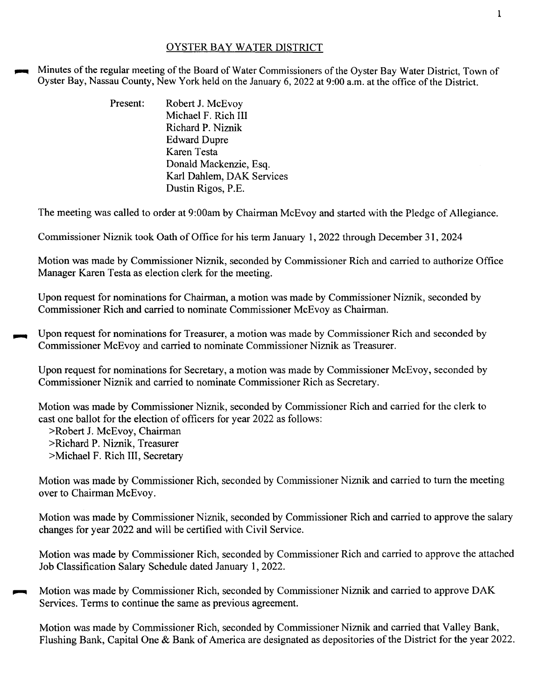## OYSTER BAY WATER DISTRICT

Minutes of the regular meeting of the Board of Water Commissioners of the Oyster Bay Water District, Town of Oyster Bay, Nassau County, New York held on the January 6, 2022 at 9:00 a.m. at the office of the District.

| Present: | Robert J. McEvoy          |
|----------|---------------------------|
|          | Michael F. Rich III       |
|          | Richard P. Niznik         |
|          | <b>Edward Dupre</b>       |
|          | Karen Testa               |
|          | Donald Mackenzie, Esq.    |
|          | Karl Dahlem, DAK Services |
|          | Dustin Rigos, P.E.        |

The meeting was called to order at 9:00am by Chairman McEvoy and started with the Pledge of Allegiance.

Commissioner Niznik took Oath of Office for his term January 1, 2022 through December 31, 2024

Motion was made by Commissioner Niznik, seconded by Commissioner Rich and carried to authorize Office Manager Karen Testa as election clerk for the meeting.

Upon request for nominations for Chairman, a motion was made by Commissioner Niznik, seconded by Commissioner Rich and carried to nominate Commissioner McEvoy as Chairman.

Upon request for nominations for Treasurer, a motion was made by Commissioner Rich and seconded by Commissioner McEvoy and carried to nominate Commissioner Niznik as Treasurer.

Upon request for nominations for Secretary, a motion was made by Commissioner McEvoy, seconded by Commissioner Niznik and carried to nominate Commissioner Rich as Secretary.

Motion was made by Commissioner Niznik, seconded by Commissioner Rich and carried for the clerk to cast one ballot for the election of officers for year 2022 as follows:

>Robert J. McEvoy, Chairman

>Richard P. Niznik, Treasurer

>Michael F. Rich III, Secretary

Motion was made by Commissioner Rich, seconded by Commissioner Niznik and carried to tum the meeting over to Chairman McEvoy.

Motion was made by Commissioner Niznik, seconded by Commissioner Rich and carried to approve the salary changes for year 2022 and will be certified with Civil Service.

Motion was made by Commissioner Rich, seconded by Commissioner Rich and carried to approve the attached Job Classification Salary Schedule dated January 1, 2022.

~ Motion was made by Commissioner Rich, seconded by Commissioner Niznik and carried to approve DAK Services. Terms to continue the same as previous agreement.

Motion was made by Commissioner Rich, seconded by Commissioner Niznik and carried that Valley Bank, Flushing Bank, Capital One & Bank of America are designated as depositories of the District for the year 2022.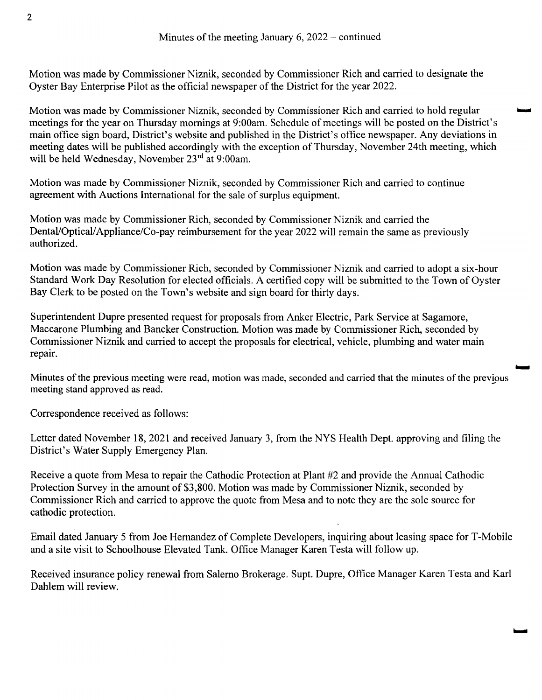Motion was made by Commissioner Niznik, seconded by Commissioner Rich and carried to designate the Oyster Bay Enterprise Pilot as the official newspaper of the District for the year 2022.

Motion was made by Commissioner Niznik, seconded by Commissioner Rich and carried to hold regular meetings for the year on Thursday mornings at 9:00am. Schedule of meetings will be posted on the District's main office sign board, District's website and published in the District's office newspaper. Any deviations in meeting dates will be published accordingly with the exception of Thursday, November 24th meeting, which will be held Wednesday, November 23<sup>rd</sup> at 9:00am.

Motion was made by Commissioner Niznik, seconded by Commissioner Rich and carried to continue agreement with Auctions International for the sale of surplus equipment.

Motion was made by Commissioner Rich, seconded by Commissioner Niznik and carried the Dental/Optical/ Appliance/Co-pay reimbursement for the year 2022 will remain the same as previously authorized.

Motion was made by Commissioner Rich, seconded by Commissioner Niznik and carried to adopt a six-hour Standard Work Day Resolution for elected officials. A certified copy will be submitted to the Town of Oyster Bay Clerk to be posted on the Town's website and sign board for thirty days.

Superintendent Dupre presented request for proposals from Anker Electric, Park Service at Sagamore, Maccarone Plumbing and Bancker Construction. Motion was made by Commissioner Rich, seconded by Commissioner Niznik and carried to accept the proposals for electrical, vehicle, plumbing and water main repair.

Minutes of the previous meeting were read, motion was made, seconded and carried that the minutes of the previous meeting stand approved as read.

Correspondence received as follows:

Letter dated November 18,2021 and received January 3, from the NYS Health Dept. approving and filing the District's Water Supply Emergency Plan.

Receive a quote from Mesa to repair the Cathodic Protection at Plant #2 and provide the Annual Cathodic Protection Survey in the amount of \$3,800. Motion was made by Commissioner Niznik, seconded by Commissioner Rich and carried to approve the quote from Mesa and to note they are the sole source for cathodic protection.

Email dated January 5 from Joe Hernandez of Complete Developers, inquiring about leasing space forT-Mobile and a site visit to Schoolhouse Elevated Tank. Office Manager Karen Testa will follow up.

Received insurance policy renewal from Salerno Brokerage. Supt. Dupre, Office Manager Karen Testa and Karl Dahlem will review.